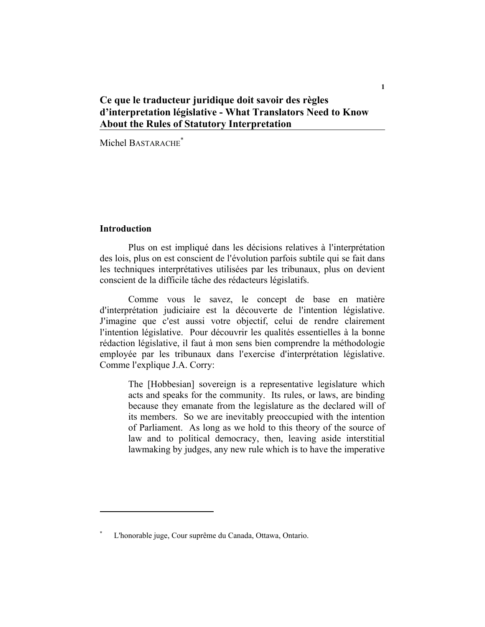# **Ce que le traducteur juridique doit savoir des règles d'interpretation législative - What Translators Need to Know About the Rules of Statutory Interpretation**

Michel BASTARACHE<sup>\*</sup>

## **Introduction**

Plus on est impliqué dans les décisions relatives à l'interprétation des lois, plus on est conscient de l'évolution parfois subtile qui se fait dans les techniques interprétatives utilisées par les tribunaux, plus on devient conscient de la difficile tâche des rédacteurs législatifs.

Comme vous le savez, le concept de base en matière d'interprétation judiciaire est la découverte de l'intention législative. J'imagine que c'est aussi votre objectif, celui de rendre clairement l'intention législative. Pour découvrir les qualités essentielles à la bonne rédaction législative, il faut à mon sens bien comprendre la méthodologie employée par les tribunaux dans l'exercise d'interprétation législative. Comme l'explique J.A. Corry:

The [Hobbesian] sovereign is a representative legislature which acts and speaks for the community. Its rules, or laws, are binding because they emanate from the legislature as the declared will of its members. So we are inevitably preoccupied with the intention of Parliament. As long as we hold to this theory of the source of law and to political democracy, then, leaving aside interstitial lawmaking by judges, any new rule which is to have the imperative

**<sup>\*</sup>** L'honorable juge, Cour suprême du Canada, Ottawa, Ontario.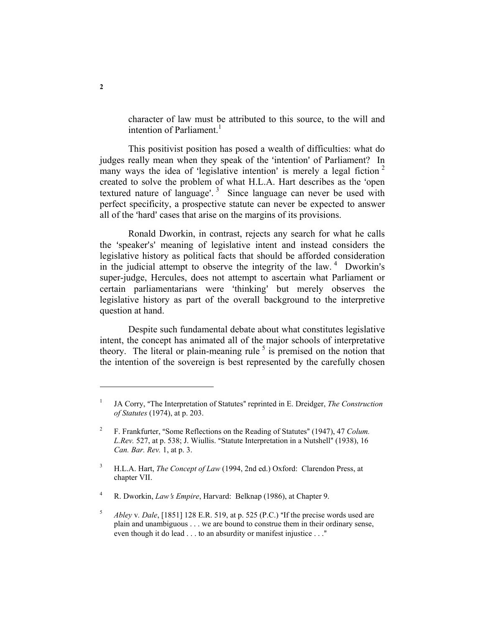character of law must be attributed to this source, to the will and intention of Parliament.<sup>1</sup>

This positivist position has posed a wealth of difficulties: what do judges really mean when they speak of the 'intention' of Parliament? In many ways the idea of 'legislative intention' is merely a legal fiction  $2$ created to solve the problem of what H.L.A. Hart describes as the 'open textured nature of language'.<sup>3</sup> Since language can never be used with perfect specificity, a prospective statute can never be expected to answer all of the 'hard' cases that arise on the margins of its provisions.

Ronald Dworkin, in contrast, rejects any search for what he calls the 'speaker's' meaning of legislative intent and instead considers the legislative history as political facts that should be afforded consideration in the judicial attempt to observe the integrity of the law.  $4$  Dworkin's super-judge, Hercules, does not attempt to ascertain what Parliament or certain parliamentarians were 'thinking' but merely observes the legislative history as part of the overall background to the interpretive question at hand.

Despite such fundamental debate about what constitutes legislative intent, the concept has animated all of the major schools of interpretative theory. The literal or plain-meaning rule  $<sup>5</sup>$  is premised on the notion that</sup> the intention of the sovereign is best represented by the carefully chosen

4 R. Dworkin, *Law*=*s Empire*, Harvard: Belknap (1986), at Chapter 9.

<sup>1</sup> JA Corry, "The Interpretation of Statutes" reprinted in E. Dreidger, *The Construction of Statutes* (1974), at p. 203.

<sup>2</sup> F. Frankfurter, "Some Reflections on the Reading of Statutes" (1947), 47 *Colum. L.Rev.* 527, at p. 538; J. Wiullis. "Statute Interpretation in a Nutshell" (1938), 16 *Can. Bar. Rev.* 1, at p. 3.

<sup>3</sup> H.L.A. Hart, *The Concept of Law* (1994, 2nd ed.) Oxford: Clarendon Press, at chapter VII.

<sup>5</sup> *Abley v. Dale*, [1851] 128 E.R. 519, at p. 525 (P.C.) "If the precise words used are plain and unambiguous . . . we are bound to construe them in their ordinary sense, even though it do lead . . . to an absurdity or manifest injustice . . ."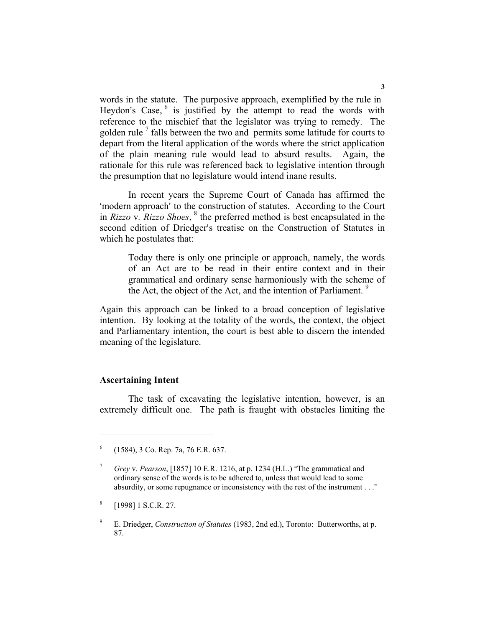words in the statute. The purposive approach, exemplified by the rule in Heydon's Case, <sup>6</sup> is justified by the attempt to read the words with reference to the mischief that the legislator was trying to remedy. The golden rule<sup>7</sup> falls between the two and permits some latitude for courts to depart from the literal application of the words where the strict application of the plain meaning rule would lead to absurd results. Again, the rationale for this rule was referenced back to legislative intention through the presumption that no legislature would intend inane results.

In recent years the Supreme Court of Canada has affirmed the "modern approach" to the construction of statutes. According to the Court in *Rizzo* v*. Rizzo Shoes*, 8 the preferred method is best encapsulated in the second edition of Driedger's treatise on the Construction of Statutes in which he postulates that:

Today there is only one principle or approach, namely, the words of an Act are to be read in their entire context and in their grammatical and ordinary sense harmoniously with the scheme of the Act, the object of the Act, and the intention of Parliament.<sup>9</sup>

Again this approach can be linked to a broad conception of legislative intention. By looking at the totality of the words, the context, the object and Parliamentary intention, the court is best able to discern the intended meaning of the legislature.

#### **Ascertaining Intent**

The task of excavating the legislative intention, however, is an extremely difficult one. The path is fraught with obstacles limiting the

<sup>6</sup> (1584), 3 Co. Rep. 7a, 76 E.R. 637.

<sup>7</sup> *Grey v. Pearson*, [1857] 10 E.R. 1216, at p. 1234 (H.L.) "The grammatical and ordinary sense of the words is to be adhered to, unless that would lead to some absurdity, or some repugnance or inconsistency with the rest of the instrument  $\dots$ "

<sup>8</sup> [1998] 1 S.C.R. 27.

<sup>9</sup> E. Driedger, *Construction of Statutes* (1983, 2nd ed.), Toronto: Butterworths, at p. 87.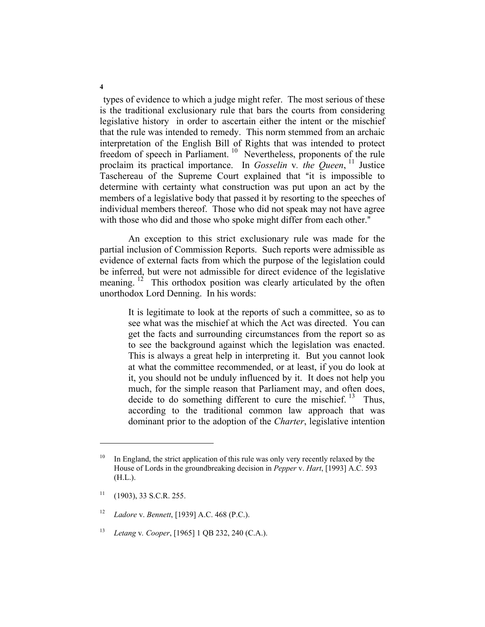types of evidence to which a judge might refer. The most serious of these is the traditional exclusionary rule that bars the courts from considering legislative history in order to ascertain either the intent or the mischief that the rule was intended to remedy. This norm stemmed from an archaic interpretation of the English Bill of Rights that was intended to protect freedom of speech in Parliament.<sup>10</sup> Nevertheless, proponents of the rule proclaim its practical importance. In *Gosselin* v*. the Queen*, 11 Justice Taschereau of the Supreme Court explained that "it is impossible to determine with certainty what construction was put upon an act by the members of a legislative body that passed it by resorting to the speeches of individual members thereof. Those who did not speak may not have agree with those who did and those who spoke might differ from each other."

An exception to this strict exclusionary rule was made for the partial inclusion of Commission Reports. Such reports were admissible as evidence of external facts from which the purpose of the legislation could be inferred, but were not admissible for direct evidence of the legislative meaning.<sup>12</sup> This orthodox position was clearly articulated by the often unorthodox Lord Denning. In his words:

It is legitimate to look at the reports of such a committee, so as to see what was the mischief at which the Act was directed. You can get the facts and surrounding circumstances from the report so as to see the background against which the legislation was enacted. This is always a great help in interpreting it. But you cannot look at what the committee recommended, or at least, if you do look at it, you should not be unduly influenced by it. It does not help you much, for the simple reason that Parliament may, and often does, decide to do something different to cure the mischief.  $13$  Thus, according to the traditional common law approach that was dominant prior to the adoption of the *Charter*, legislative intention

<sup>&</sup>lt;sup>10</sup> In England, the strict application of this rule was only very recently relaxed by the House of Lords in the groundbreaking decision in *Pepper* v. *Hart*, [1993] A.C. 593 (H.L.).

 $11$  (1903), 33 S.C.R. 255.

<sup>12</sup> *Ladore* v. *Bennett*, [1939] A.C. 468 (P.C.).

<sup>13</sup> *Letang* v*. Cooper*, [1965] 1 QB 232, 240 (C.A.).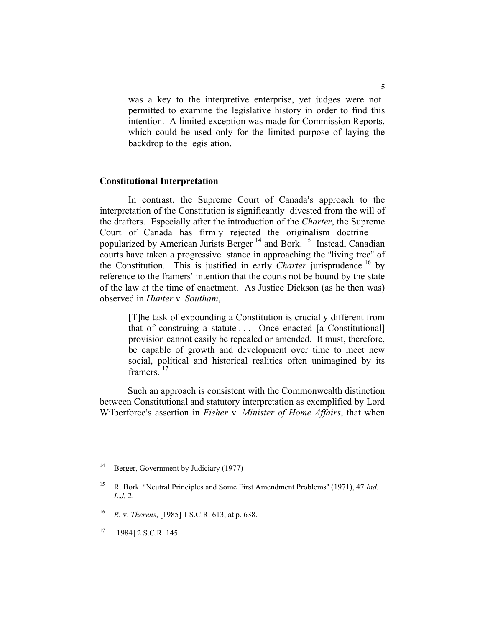was a key to the interpretive enterprise, yet judges were not permitted to examine the legislative history in order to find this intention. A limited exception was made for Commission Reports, which could be used only for the limited purpose of laying the backdrop to the legislation.

#### **Constitutional Interpretation**

In contrast, the Supreme Court of Canada's approach to the interpretation of the Constitution is significantly divested from the will of the drafters. Especially after the introduction of the *Charter*, the Supreme Court of Canada has firmly rejected the originalism doctrine popularized by American Jurists Berger 14 and Bork. 15 Instead, Canadian courts have taken a progressive stance in approaching the "living tree" of the Constitution. This is justified in early *Charter* jurisprudence 16 by reference to the framers' intention that the courts not be bound by the state of the law at the time of enactment. As Justice Dickson (as he then was) observed in *Hunter* v*. Southam*,

> [T]he task of expounding a Constitution is crucially different from that of construing a statute . . . Once enacted [a Constitutional] provision cannot easily be repealed or amended. It must, therefore, be capable of growth and development over time to meet new social, political and historical realities often unimagined by its framers.<sup>17</sup>

Such an approach is consistent with the Commonwealth distinction between Constitutional and statutory interpretation as exemplified by Lord Wilberforce's assertion in *Fisher v. Minister of Home Affairs*, that when

<sup>&</sup>lt;sup>14</sup> Berger, Government by Judiciary (1977)

<sup>&</sup>lt;sup>15</sup> R. Bork. "Neutral Principles and Some First Amendment Problems" (1971), 47 *Ind. L.J.* 2.

<sup>16</sup> *R.* v. *Therens*, [1985] 1 S.C.R. 613, at p. 638.

 $17$  [1984] 2 S.C.R. 145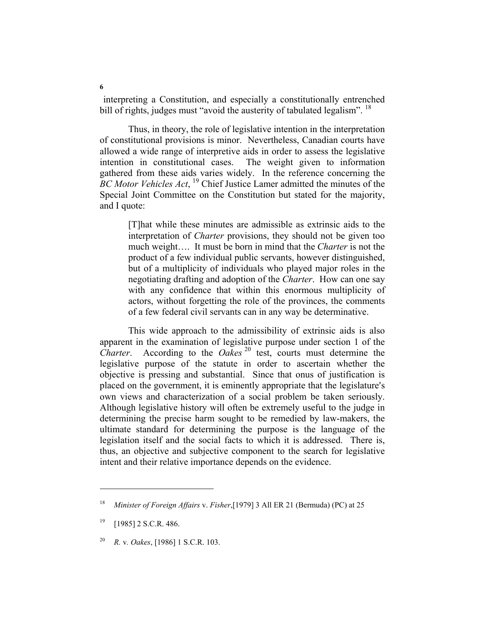interpreting a Constitution, and especially a constitutionally entrenched bill of rights, judges must "avoid the austerity of tabulated legalism".  $^{18}$ 

Thus, in theory, the role of legislative intention in the interpretation of constitutional provisions is minor. Nevertheless, Canadian courts have allowed a wide range of interpretive aids in order to assess the legislative intention in constitutional cases. The weight given to information gathered from these aids varies widely. In the reference concerning the *BC Motor Vehicles Act*, <sup>19</sup> Chief Justice Lamer admitted the minutes of the Special Joint Committee on the Constitution but stated for the majority, and I quote:

[T]hat while these minutes are admissible as extrinsic aids to the interpretation of *Charter* provisions, they should not be given too much weight…. It must be born in mind that the *Charter* is not the product of a few individual public servants, however distinguished, but of a multiplicity of individuals who played major roles in the negotiating drafting and adoption of the *Charter*. How can one say with any confidence that within this enormous multiplicity of actors, without forgetting the role of the provinces, the comments of a few federal civil servants can in any way be determinative.

This wide approach to the admissibility of extrinsic aids is also apparent in the examination of legislative purpose under section 1 of the *Charter*. According to the *Oakes*<sup>20</sup> test, courts must determine the legislative purpose of the statute in order to ascertain whether the objective is pressing and substantial. Since that onus of justification is placed on the government, it is eminently appropriate that the legislature's own views and characterization of a social problem be taken seriously. Although legislative history will often be extremely useful to the judge in determining the precise harm sought to be remedied by law-makers, the ultimate standard for determining the purpose is the language of the legislation itself and the social facts to which it is addressed. There is, thus, an objective and subjective component to the search for legislative intent and their relative importance depends on the evidence.

<sup>18</sup> *Minister of Foreign Affairs* v. *Fisher*,[1979] 3 All ER 21 (Bermuda) (PC) at 25

 $19$  [1985] 2 S.C.R. 486.

<sup>20</sup> *R.* v*. Oakes*, [1986] 1 S.C.R. 103.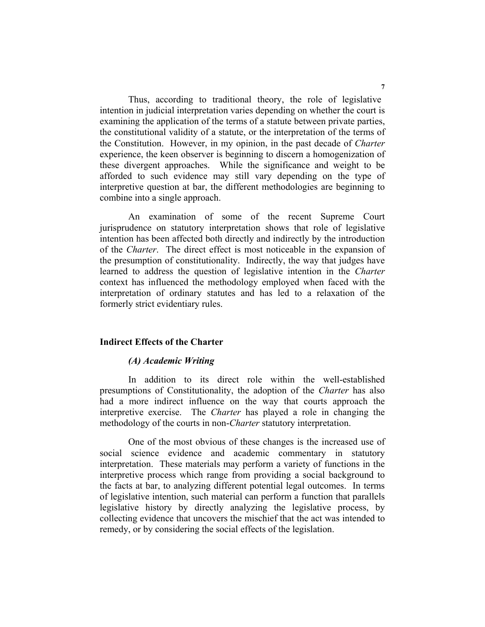Thus, according to traditional theory, the role of legislative intention in judicial interpretation varies depending on whether the court is examining the application of the terms of a statute between private parties, the constitutional validity of a statute, or the interpretation of the terms of the Constitution. However, in my opinion, in the past decade of *Charter* experience, the keen observer is beginning to discern a homogenization of these divergent approaches. While the significance and weight to be afforded to such evidence may still vary depending on the type of interpretive question at bar, the different methodologies are beginning to combine into a single approach.

An examination of some of the recent Supreme Court jurisprudence on statutory interpretation shows that role of legislative intention has been affected both directly and indirectly by the introduction of the *Charter*. The direct effect is most noticeable in the expansion of the presumption of constitutionality. Indirectly, the way that judges have learned to address the question of legislative intention in the *Charter* context has influenced the methodology employed when faced with the interpretation of ordinary statutes and has led to a relaxation of the formerly strict evidentiary rules.

## **Indirect Effects of the Charter**

### *(A) Academic Writing*

In addition to its direct role within the well-established presumptions of Constitutionality, the adoption of the *Charter* has also had a more indirect influence on the way that courts approach the interpretive exercise. The *Charter* has played a role in changing the methodology of the courts in non-*Charter* statutory interpretation.

One of the most obvious of these changes is the increased use of social science evidence and academic commentary in statutory interpretation. These materials may perform a variety of functions in the interpretive process which range from providing a social background to the facts at bar, to analyzing different potential legal outcomes. In terms of legislative intention, such material can perform a function that parallels legislative history by directly analyzing the legislative process, by collecting evidence that uncovers the mischief that the act was intended to remedy, or by considering the social effects of the legislation.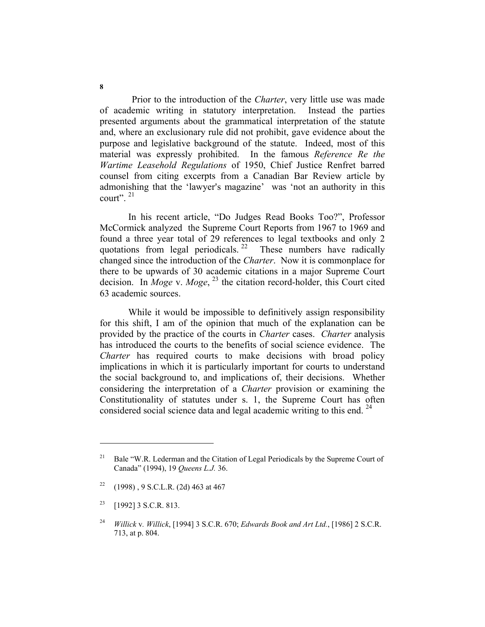Prior to the introduction of the *Charter*, very little use was made of academic writing in statutory interpretation. Instead the parties presented arguments about the grammatical interpretation of the statute and, where an exclusionary rule did not prohibit, gave evidence about the purpose and legislative background of the statute. Indeed, most of this material was expressly prohibited. In the famous *Reference Re the Wartime Leasehold Regulations* of 1950, Chief Justice Renfret barred counsel from citing excerpts from a Canadian Bar Review article by admonishing that the 'lawyer's magazine' was 'not an authority in this court".  $21$ 

In his recent article, "Do Judges Read Books Too?", Professor McCormick analyzed the Supreme Court Reports from 1967 to 1969 and found a three year total of 29 references to legal textbooks and only 2 quotations from legal periodicals. <sup>22</sup> These numbers have radically changed since the introduction of the *Charter*. Now it is commonplace for there to be upwards of 30 academic citations in a major Supreme Court decision. In *Moge* v. *Moge*, 23 the citation record-holder, this Court cited 63 academic sources.

While it would be impossible to definitively assign responsibility for this shift, I am of the opinion that much of the explanation can be provided by the practice of the courts in *Charter* cases. *Charter* analysis has introduced the courts to the benefits of social science evidence. The *Charter* has required courts to make decisions with broad policy implications in which it is particularly important for courts to understand the social background to, and implications of, their decisions. Whether considering the interpretation of a *Charter* provision or examining the Constitutionality of statutes under s. 1, the Supreme Court has often considered social science data and legal academic writing to this end.  $^{24}$ 

<sup>22</sup> (1998), 9 S.C.L.R. (2d) 463 at 467

<sup>&</sup>lt;sup>21</sup> Bale "W.R. Lederman and the Citation of Legal Periodicals by the Supreme Court of Canada" (1994), 19 *Queens L.J.* 36.

<sup>23 [1992] 3</sup> S.C.R. 813.

<sup>24</sup> *Willick* v*. Willick*, [1994] 3 S.C.R. 670; *Edwards Book and Art Ltd.*, [1986] 2 S.C.R. 713, at p. 804.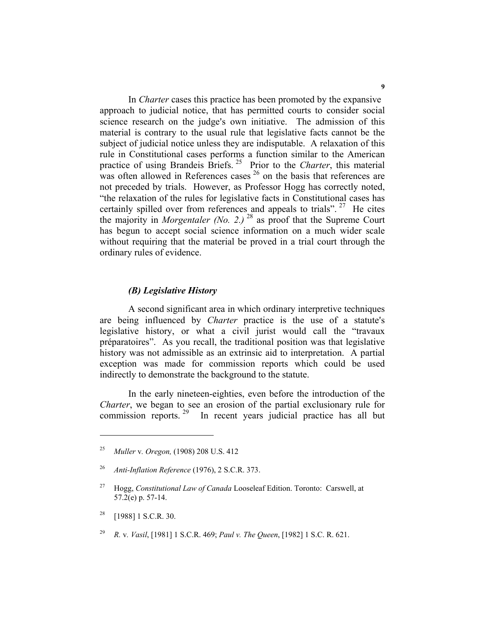In *Charter* cases this practice has been promoted by the expansive approach to judicial notice, that has permitted courts to consider social science research on the judge's own initiative. The admission of this material is contrary to the usual rule that legislative facts cannot be the subject of judicial notice unless they are indisputable. A relaxation of this rule in Constitutional cases performs a function similar to the American practice of using Brandeis Briefs. 25 Prior to the *Charter*, this material was often allowed in References cases  $26$  on the basis that references are not preceded by trials. However, as Professor Hogg has correctly noted, "the relaxation of the rules for legislative facts in Constitutional cases has certainly spilled over from references and appeals to trials". <sup>27</sup> He cites the majority in *Morgentaler (No. 2.)* <sup>28</sup> as proof that the Supreme Court has begun to accept social science information on a much wider scale without requiring that the material be proved in a trial court through the ordinary rules of evidence.

#### *(B) Legislative History*

A second significant area in which ordinary interpretive techniques are being influenced by *Charter* practice is the use of a statute's legislative history, or what a civil jurist would call the "travaux préparatoires". As you recall, the traditional position was that legislative history was not admissible as an extrinsic aid to interpretation. A partial exception was made for commission reports which could be used indirectly to demonstrate the background to the statute.

In the early nineteen-eighties, even before the introduction of the *Charter*, we began to see an erosion of the partial exclusionary rule for commission reports.<sup>29</sup> In recent years judicial practice has all but

<sup>25</sup> *Muller* v*. Oregon,* (1908) 208 U.S. 412

<sup>26</sup> *Anti-Inflation Reference* (1976), 2 S.C.R. 373.

<sup>27</sup> Hogg, *Constitutional Law of Canada* Looseleaf Edition. Toronto: Carswell, at 57.2(e) p. 57-14.

 $28$  [1988] 1 S.C.R. 30.

<sup>29</sup> *R.* v*. Vasil*, [1981] 1 S.C.R. 469; *Paul v. The Queen*, [1982] 1 S.C. R. 621.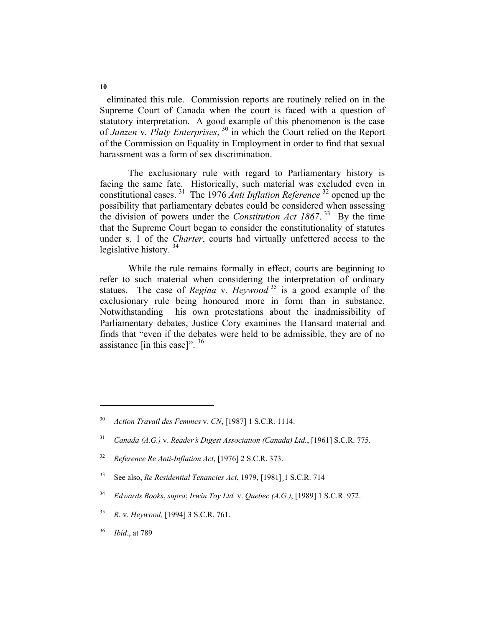eliminated this rule. Commission reports are routinely relied on in the Supreme Court of Canada when the court is faced with a question of statutory interpretation. A good example of this phenomenon is the case of *Janzen* v*. Platy Enterprises*, 30 in which the Court relied on the Report of the Commission on Equality in Employment in order to find that sexual harassment was a form of sex discrimination.

The exclusionary rule with regard to Parliamentary history is facing the same fate. Historically, such material was excluded even in constitutional cases. 31 The 1976 *Anti Inflation Reference* 32 opened up the possibility that parliamentary debates could be considered when assessing the division of powers under the *Constitution Act 1867*. 33 By the time that the Supreme Court began to consider the constitutionality of statutes under s. 1 of the *Charter*, courts had virtually unfettered access to the legislative history.<sup>34</sup>

While the rule remains formally in effect, courts are beginning to refer to such material when considering the interpretation of ordinary statues. The case of *Regina* v*. Heywood* 35 is a good example of the exclusionary rule being honoured more in form than in substance. Notwithstanding his own protestations about the inadmissibility of Parliamentary debates, Justice Cory examines the Hansard material and finds that "even if the debates were held to be admissible, they are of no assistance [in this case]".  $36$ 

- <sup>34</sup> *Edwards Books*, *supra*; *Irwin Toy Ltd.* v. *Quebec (A.G.)*, [1989] 1 S.C.R. 972.
- 35 *R.* v*. Heywood,* [1994] 3 S.C.R. 761.
- <sup>36</sup> *Ibid*., at 789

<sup>30</sup> *Action Travail des Femmes* v. *CN*, [1987] 1 S.C.R. 1114.

<sup>&</sup>lt;sup>31</sup> *Canada (A.G.) v. Reader's Digest Association (Canada) Ltd.*, [1961] S.C.R. 775.

<sup>32</sup> *Reference Re Anti-Inflation Act*, [1976] 2 S.C.R. 373.

<sup>33</sup> See also, *Re Residential Tenancies Act*, 1979, [1981]¸1 S.C.R. 714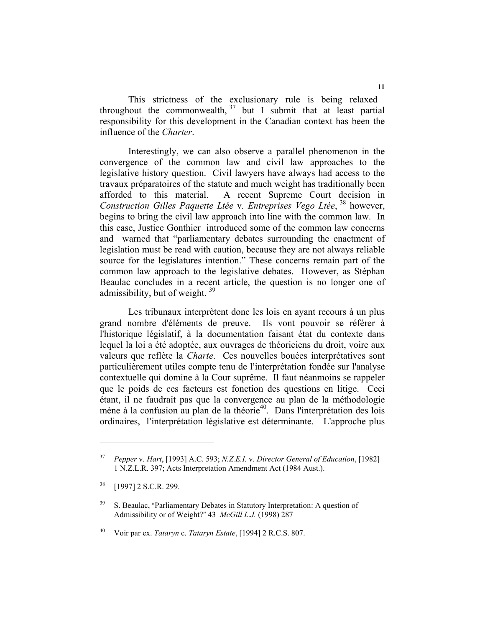This strictness of the exclusionary rule is being relaxed throughout the commonwealth,  $37$  but I submit that at least partial responsibility for this development in the Canadian context has been the influence of the *Charter*.

Interestingly, we can also observe a parallel phenomenon in the convergence of the common law and civil law approaches to the legislative history question. Civil lawyers have always had access to the travaux préparatoires of the statute and much weight has traditionally been afforded to this material. A recent Supreme Court decision in *Construction Gilles Paquette Ltée* v*. Entreprises Vego Ltée*, 38 however, begins to bring the civil law approach into line with the common law. In this case, Justice Gonthier introduced some of the common law concerns and warned that "parliamentary debates surrounding the enactment of legislation must be read with caution, because they are not always reliable source for the legislatures intention." These concerns remain part of the common law approach to the legislative debates. However, as Stéphan Beaulac concludes in a recent article, the question is no longer one of admissibility, but of weight.<sup>39</sup>

Les tribunaux interprètent donc les lois en ayant recours à un plus grand nombre d'éléments de preuve. Ils vont pouvoir se référer à l'historique législatif, à la documentation faisant état du contexte dans lequel la loi a été adoptée, aux ouvrages de théoriciens du droit, voire aux valeurs que reflète la *Charte*. Ces nouvelles bouées interprétatives sont particulièrement utiles compte tenu de l'interprétation fondée sur l'analyse contextuelle qui domine à la Cour suprême. Il faut néanmoins se rappeler que le poids de ces facteurs est fonction des questions en litige. Ceci étant, il ne faudrait pas que la convergence au plan de la méthodologie mène à la confusion au plan de la théorie<sup>40</sup>. Dans l'interprétation des lois ordinaires, l'interprétation législative est déterminante. L'approche plus

<sup>37</sup> *Pepper* v*. Hart*, [1993] A.C. 593; *N.Z.E.I.* v*. Director General of Education*, [1982] 1 N.Z.L.R. 397; Acts Interpretation Amendment Act (1984 Aust.).

<sup>&</sup>lt;sup>38</sup> [1997] 2 S.C.R. 299.

 $39$  S. Beaulac, "Parliamentary Debates in Statutory Interpretation: A question of Admissibility or of Weight?" 43 *McGill L.J.* (1998) 287

<sup>40</sup> Voir par ex. *Tataryn* c. *Tataryn Estate*, [1994] 2 R.C.S. 807.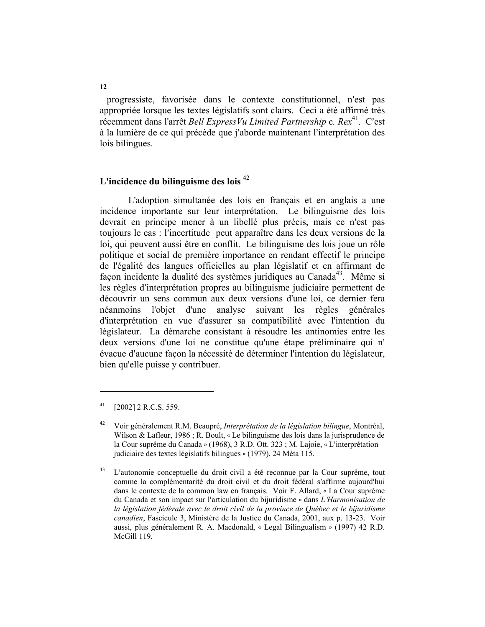progressiste, favorisée dans le contexte constitutionnel, n'est pas appropriée lorsque les textes législatifs sont clairs. Ceci a été affirmé très récemment dans l'arrêt *Bell ExpressVu Limited Partnership* c. Rex<sup>41</sup>. C'est à la lumière de ce qui précède que j'aborde maintenant l'interprétation des lois bilingues.

# **L'incidence du bilinguisme des lois** <sup>42</sup>

L'adoption simultanée des lois en français et en anglais a une incidence importante sur leur interprétation. Le bilinguisme des lois devrait en principe mener à un libellé plus précis, mais ce n'est pas toujours le cas : l'incertitude peut apparaître dans les deux versions de la loi, qui peuvent aussi être en conflit. Le bilinguisme des lois joue un rôle politique et social de première importance en rendant effectif le principe de l'égalité des langues officielles au plan législatif et en affirmant de façon incidente la dualité des systèmes juridiques au Canada<sup>43</sup>. Même si les règles d'interprétation propres au bilinguisme judiciaire permettent de découvrir un sens commun aux deux versions d'une loi, ce dernier fera néanmoins l'objet d'une analyse suivant les règles générales d'interprétation en vue d'assurer sa compatibilité avec l'intention du législateur. La démarche consistant à résoudre les antinomies entre les deux versions d'une loi ne constitue qu'une étape préliminaire qui n= évacue d'aucune façon la nécessité de déterminer l'intention du législateur, bien qu'elle puisse y contribuer.

 $^{41}$  [2002] 2 R.C.S. 559.

<sup>42</sup> Voir généralement R.M. Beaupré, *Interprétation de la législation bilingue*, Montréal, Wilson & Lafleur, 1986 ; R. Boult, « Le bilinguisme des lois dans la jurisprudence de la Cour suprême du Canada » (1968), 3 R.D. Ott. 323 ; M. Lajoie, « L'interprétation judiciaire des textes législatifs bilingues » (1979), 24 Méta 115.

<sup>&</sup>lt;sup>43</sup> L'autonomie conceptuelle du droit civil a été reconnue par la Cour suprême, tout comme la complémentarité du droit civil et du droit fédéral s'affirme aujourd'hui dans le contexte de la common law en français. Voir F. Allard, \* La Cour suprême du Canada et son impact sur l'articulation du bijuridisme » dans *L'Harmonisation de la législation fédérale avec le droit civil de la province de Québec et le bijuridisme canadien*, Fascicule 3, Ministère de la Justice du Canada, 2001, aux p. 13-23. Voir aussi, plus généralement R. A. Macdonald, « Legal Bilingualism » (1997) 42 R.D. McGill 119.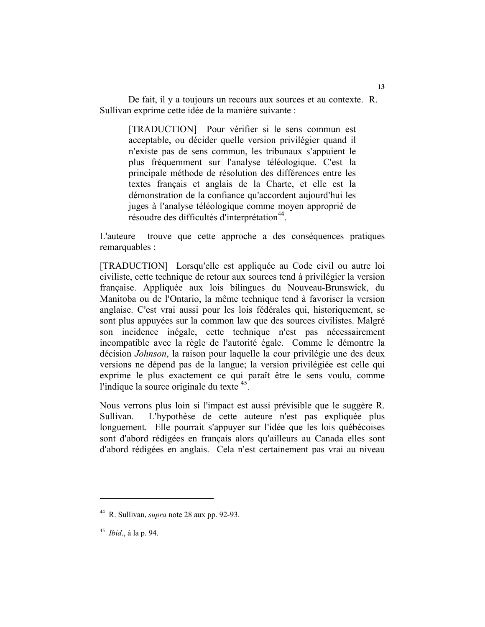De fait, il y a toujours un recours aux sources et au contexte. R. Sullivan exprime cette idée de la manière suivante :

> [TRADUCTION] Pour vérifier si le sens commun est acceptable, ou décider quelle version privilégier quand il n'existe pas de sens commun, les tribunaux s'appuient le plus fréquemment sur l'analyse téléologique. C'est la principale méthode de résolution des différences entre les textes français et anglais de la Charte, et elle est la démonstration de la confiance qu'accordent aujourd'hui les juges à l'analyse téléologique comme moyen approprié de résoudre des difficultés d'interprétation<sup>44</sup>.

L'auteure trouve que cette approche a des conséquences pratiques remarquables :

[TRADUCTION] Lorsqu'elle est appliquée au Code civil ou autre loi civiliste, cette technique de retour aux sources tend à privilégier la version française. Appliquée aux lois bilingues du Nouveau-Brunswick, du Manitoba ou de l'Ontario, la même technique tend à favoriser la version anglaise. C'est vrai aussi pour les lois fédérales qui, historiquement, se sont plus appuyées sur la common law que des sources civilistes. Malgré son incidence inégale, cette technique n'est pas nécessairement incompatible avec la règle de l'autorité égale. Comme le démontre la décision *Johnson*, la raison pour laquelle la cour privilégie une des deux versions ne dépend pas de la langue; la version privilégiée est celle qui exprime le plus exactement ce qui paraît être le sens voulu, comme l'indique la source originale du texte  $45$ .

Nous verrons plus loin si l'impact est aussi prévisible que le suggère R. Sullivan. L'hypothèse de cette auteure n'est pas expliquée plus longuement. Elle pourrait s'appuyer sur l'idée que les lois québécoises sont d'abord rédigées en français alors qu'ailleurs au Canada elles sont d'abord rédigées en anglais. Cela n'est certainement pas vrai au niveau

<sup>44</sup> R. Sullivan, *supra* note 28 aux pp. 92-93.

<sup>45</sup> *Ibid*., à la p. 94.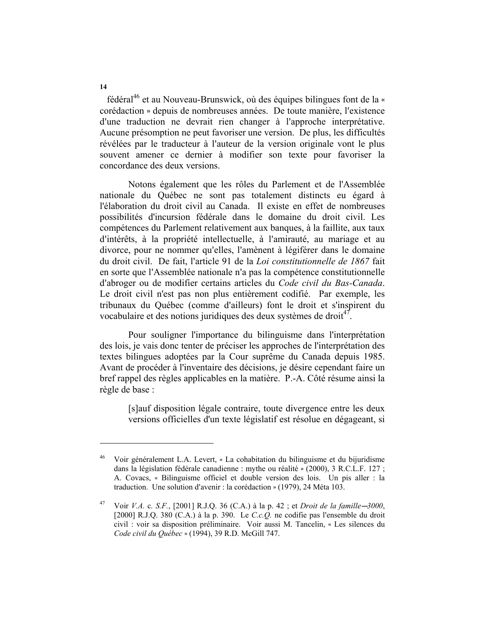fédéral<sup>46</sup> et au Nouveau-Brunswick, où des équipes bilingues font de la « corédaction » depuis de nombreuses années. De toute manière, l'existence d'une traduction ne devrait rien changer à l'approche interprétative. Aucune présomption ne peut favoriser une version. De plus, les difficultés révélées par le traducteur à l'auteur de la version originale vont le plus souvent amener ce dernier à modifier son texte pour favoriser la concordance des deux versions.

Notons également que les rôles du Parlement et de l'Assemblée nationale du Québec ne sont pas totalement distincts eu égard à l'élaboration du droit civil au Canada. Il existe en effet de nombreuses possibilités d'incursion fédérale dans le domaine du droit civil. Les compétences du Parlement relativement aux banques, à la faillite, aux taux d'intérêts, à la propriété intellectuelle, à l'amirauté, au mariage et au divorce, pour ne nommer qu'elles, l'amènent à légiférer dans le domaine du droit civil. De fait, l'article 91 de la *Loi constitutionnelle de 1867* fait en sorte que l'Assemblée nationale n'a pas la compétence constitutionnelle d'abroger ou de modifier certains articles du *Code civil du Bas-Canada*. Le droit civil n'est pas non plus entièrement codifié. Par exemple, les tribunaux du Québec (comme d'ailleurs) font le droit et s'inspirent du vocabulaire et des notions juridiques des deux systèmes de droit<sup>47</sup>.

Pour souligner l'importance du bilinguisme dans l'interprétation des lois, je vais donc tenter de préciser les approches de l'interprétation des textes bilingues adoptées par la Cour suprême du Canada depuis 1985. Avant de procéder à l'inventaire des décisions, je désire cependant faire un bref rappel des règles applicables en la matière. P.-A. Côté résume ainsi la règle de base :

 [s]auf disposition légale contraire, toute divergence entre les deux versions officielles d'un texte législatif est résolue en dégageant, si

**14** 

<sup>46</sup> Voir généralement L.A. Levert, \* La cohabitation du bilinguisme et du bijuridisme dans la législation fédérale canadienne : mythe ou réalité » (2000), 3 R.C.L.F. 127 ; A. Covacs, \* Bilinguisme officiel et double version des lois. Un pis aller : la traduction. Une solution d'avenir : la corédaction » (1979), 24 Méta 103.

<sup>&</sup>lt;sup>47</sup> Voir *V.A.* c. *S.F.*, [2001] R.J.Q. 36 (C.A.) à la p. 42 ; et *Droit de la famille* $-3000$ ,  $[2000]$  R.J.Q. 380 (C.A.) à la p. 390. Le *C.c.Q.* ne codifie pas l'ensemble du droit civil : voir sa disposition préliminaire. Voir aussi M. Tancelin, \* Les silences du *Code civil du Québec »* (1994), 39 R.D. McGill 747.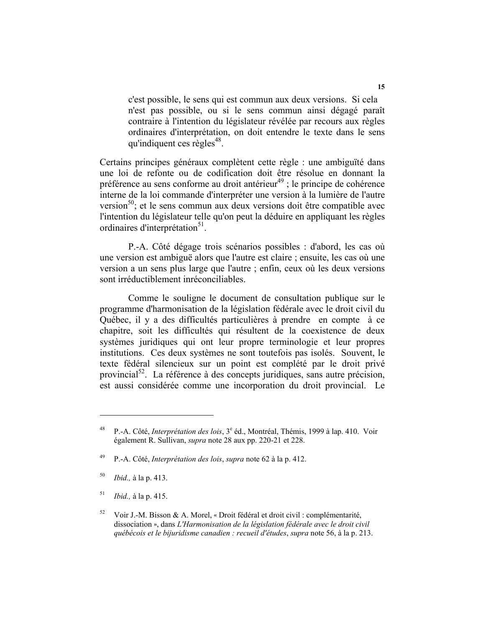c'est possible, le sens qui est commun aux deux versions. Si cela n'est pas possible, ou si le sens commun ainsi dégagé paraît contraire à l'intention du législateur révélée par recours aux règles ordinaires d'interprétation, on doit entendre le texte dans le sens qu'indiquent ces règles $48$ .

Certains principes généraux complètent cette règle : une ambiguïté dans une loi de refonte ou de codification doit être résolue en donnant la préférence au sens conforme au droit antérieur<sup>49</sup> ; le principe de cohérence interne de la loi commande d'interpréter une version à la lumière de l'autre version<sup>50</sup>; et le sens commun aux deux versions doit être compatible avec l'intention du législateur telle qu'on peut la déduire en appliquant les règles ordinaires d'interprétation<sup>51</sup>.

P.-A. Côté dégage trois scénarios possibles : d'abord, les cas où une version est ambiguë alors que l'autre est claire ; ensuite, les cas où une version a un sens plus large que l'autre ; enfin, ceux où les deux versions sont irréductiblement inréconciliables.

Comme le souligne le document de consultation publique sur le programme d'harmonisation de la législation fédérale avec le droit civil du Québec, il y a des difficultés particulières à prendre en compte à ce chapitre, soit les difficultés qui résultent de la coexistence de deux systèmes juridiques qui ont leur propre terminologie et leur propres institutions. Ces deux systèmes ne sont toutefois pas isolés. Souvent, le texte fédéral silencieux sur un point est complété par le droit privé provincial $5^2$ . La référence à des concepts juridiques, sans autre précision, est aussi considérée comme une incorporation du droit provincial. Le

<sup>&</sup>lt;sup>48</sup> P.-A. Côté, *Interprétation des lois*, 3<sup>e</sup> éd., Montréal, Thémis, 1999 à lap. 410. Voir également R. Sullivan, *supra* note 28 aux pp. 220-21 et 228.

<sup>49</sup> P.-A. Côté, *Interprétation des lois*, *supra* note 62 à la p. 412.

<sup>50</sup> *Ibid.,* à la p. 413.

<sup>51</sup> *Ibid.,* à la p. 415.

<sup>&</sup>lt;sup>52</sup> Voir J.-M. Bisson & A. Morel, « Droit fédéral et droit civil : complémentarité, dissociation +, dans *L'Harmonisation de la législation fédérale avec le droit civil québécois et le bijuridisme canadien : recueil d'études*, *supra* note 56, à la p. 213.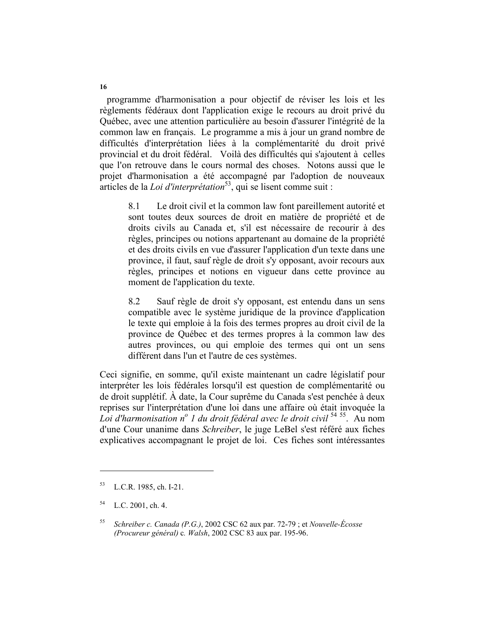programme d'harmonisation a pour objectif de réviser les lois et les règlements fédéraux dont l'application exige le recours au droit privé du Québec, avec une attention particulière au besoin d'assurer l'intégrité de la common law en français. Le programme a mis à jour un grand nombre de difficultés d'interprétation liées à la complémentarité du droit privé provincial et du droit fédéral. Voilà des difficultés qui s'ajoutent à celles que l'on retrouve dans le cours normal des choses. Notons aussi que le projet d'harmonisation a été accompagné par l'adoption de nouveaux articles de la *Loi d'interprétation*<sup>53</sup>, qui se lisent comme suit :

8.1 Le droit civil et la common law font pareillement autorité et sont toutes deux sources de droit en matière de propriété et de droits civils au Canada et, s'il est nécessaire de recourir à des règles, principes ou notions appartenant au domaine de la propriété et des droits civils en vue d'assurer l'application d'un texte dans une province, il faut, sauf règle de droit s'y opposant, avoir recours aux règles, principes et notions en vigueur dans cette province au moment de l'application du texte.

8.2 Sauf règle de droit s'y opposant, est entendu dans un sens compatible avec le système juridique de la province d'application le texte qui emploie à la fois des termes propres au droit civil de la province de Québec et des termes propres à la common law des autres provinces, ou qui emploie des termes qui ont un sens différent dans l'un et l'autre de ces systèmes.

Ceci signifie, en somme, qu'il existe maintenant un cadre législatif pour interpréter les lois fédérales lorsqu'il est question de complémentarité ou de droit supplétif. À date, la Cour suprême du Canada s'est penchée à deux reprises sur l'interprétation d'une loi dans une affaire où était invoquée la *Loi d'harmonisation no 1 du droit fédéral avec le droit civil* <sup>54</sup> 55. Au nom d'une Cour unanime dans *Schreiber*, le juge LeBel s'est référé aux fiches explicatives accompagnant le projet de loi. Ces fiches sont intéressantes

<sup>53</sup> L.C.R. 1985, ch. I-21.

<sup>54</sup> L.C. 2001, ch. 4.

<sup>55</sup> *Schreiber c. Canada (P.G.)*, 2002 CSC 62 aux par. 72-79 ; et *Nouvelle-Écosse (Procureur général)* c*. Walsh*, 2002 CSC 83 aux par. 195-96.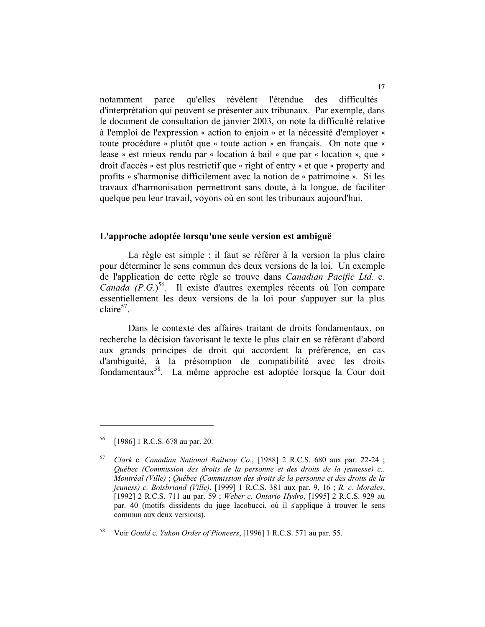notamment parce qu'elles révèlent l'étendue des difficultés d'interprétation qui peuvent se présenter aux tribunaux. Par exemple, dans le document de consultation de janvier 2003, on note la difficulté relative à l'emploi de l'expression « action to enjoin » et la nécessité d'employer « toute procédure » plutôt que « toute action » en français. On note que « lease » est mieux rendu par « location à bail » que par « location », que « droit d'accès » est plus restrictif que « right of entry » et que « property and profits » s'harmonise difficilement avec la notion de « patrimoine ». Si les travaux d'harmonisation permettront sans doute, à la longue, de faciliter quelque peu leur travail, voyons où en sont les tribunaux aujourd'hui.

### **L'approche adoptée lorsqu'une seule version est ambiguë**

La règle est simple : il faut se référer à la version la plus claire pour déterminer le sens commun des deux versions de la loi. Un exemple de l'application de cette règle se trouve dans *Canadian Pacific Ltd.* c*.*  Canada (P.G.)<sup>56</sup>. Il existe d'autres exemples récents où l'on compare essentiellement les deux versions de la loi pour s'appuyer sur la plus  $claire<sup>57</sup>$ .

Dans le contexte des affaires traitant de droits fondamentaux, on recherche la décision favorisant le texte le plus clair en se référant d'abord aux grands principes de droit qui accordent la préférence, en cas d'ambiguité, à la présomption de compatibilité avec les droits fondamentaux58. La même approche est adoptée lorsque la Cour doit

<sup>56 [1986] 1</sup> R.C.S. 678 au par. 20.

<sup>57</sup> *Clark* c*. Canadian National Railway Co.*, [1988] 2 R.C.S. 680 aux par. 22-24 ; *Québec (Commission des droits de la personne et des droits de la jeunesse) c.*. *Montréal (Ville)* ; *Québec (Commission des droits de la personne et des droits de la jeuness) c. Boisbriand (Ville)*, [1999] 1 R.C.S. 381 aux par. 9, 16 ; *R. c. Morales*, [1992] 2 R.C.S. 711 au par. 59 ; *Weber c. Ontario Hydro*, [1995] 2 R.C.S. 929 au par. 40 (motifs dissidents du juge Iacobucci, où il s'applique à trouver le sens commun aux deux versions).

<sup>58</sup> Voir *Gould* c. *Yukon Order of Pioneers*, [1996] 1 R.C.S. 571 au par. 55.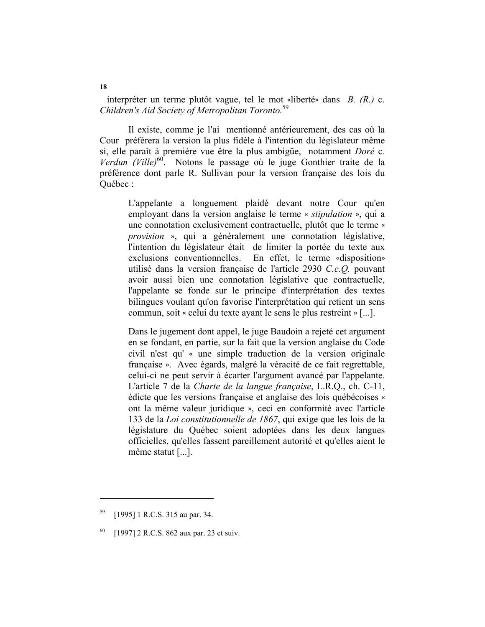interpréter un terme plutôt vague, tel le mot «liberté» dans *B. (R.)* c. *Children's Aid Society of Metropolitan Toronto.*<sup>59</sup>

Il existe, comme je l'ai mentionné antérieurement, des cas où la Cour préférera la version la plus fidèle à l'intention du législateur même si, elle paraît à première vue être la plus ambigüe, notamment *Doré* c*. Verdun (Ville)*60. Notons le passage où le juge Gonthier traite de la préférence dont parle R. Sullivan pour la version française des lois du Québec :

L'appelante a longuement plaidé devant notre Cour qu'en employant dans la version anglaise le terme « *stipulation* », qui a une connotation exclusivement contractuelle, plutôt que le terme « *provision* », qui a généralement une connotation législative, l'intention du législateur était de limiter la portée du texte aux exclusions conventionnelles. En effet, le terme «disposition» utilisé dans la version française de l'article 2930 *C.c.Q.* pouvant avoir aussi bien une connotation législative que contractuelle, l'appelante se fonde sur le principe d'interprétation des textes bilingues voulant qu'on favorise l'interprétation qui retient un sens commun, soit « celui du texte ayant le sens le plus restreint » [...].

Dans le jugement dont appel, le juge Baudoin a rejeté cet argument en se fondant, en partie, sur la fait que la version anglaise du Code civil n'est qu' \* une simple traduction de la version originale française ». Avec égards, malgré la véracité de ce fait regrettable, celui-ci ne peut servir à écarter l'argument avancé par l'appelante. L'article 7 de la *Charte de la langue française*, L.R.Q., ch. C-11, édicte que les versions française et anglaise des lois québécoises « ont la même valeur juridique », ceci en conformité avec l'article 133 de la *Loi constitutionnelle de 1867*, qui exige que les lois de la législature du Québec soient adoptées dans les deux langues officielles, qu'elles fassent pareillement autorité et qu'elles aient le même statut [...].

<sup>59 [1995] 1</sup> R.C.S. 315 au par. 34.

<sup>[1997] 2</sup> R.C.S. 862 aux par. 23 et suiv.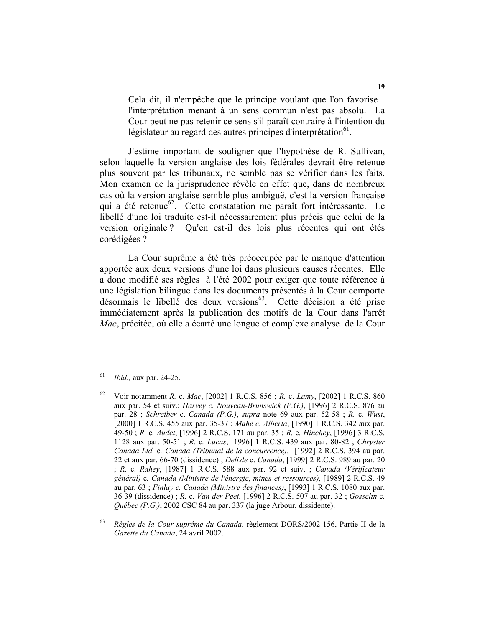Cela dit, il n'empêche que le principe voulant que l'on favorise l'interprétation menant à un sens commun n'est pas absolu. La Cour peut ne pas retenir ce sens s'il paraît contraire à l'intention du législateur au regard des autres principes d'interprétation<sup>61</sup>.

J'estime important de souligner que l'hypothèse de R. Sullivan, selon laquelle la version anglaise des lois fédérales devrait être retenue plus souvent par les tribunaux, ne semble pas se vérifier dans les faits. Mon examen de la jurisprudence révèle en effet que, dans de nombreux cas où la version anglaise semble plus ambiguë, c'est la version française qui a été retenue<sup>62</sup>. Cette constatation me paraît fort intéressante. Le libellé d'une loi traduite est-il nécessairement plus précis que celui de la version originale ? Qu'en est-il des lois plus récentes qui ont étés corédigées ?

La Cour suprême a été très préoccupée par le manque d'attention apportée aux deux versions d'une loi dans plusieurs causes récentes. Elle a donc modifié ses règles à l'été 2002 pour exiger que toute référence à une législation bilingue dans les documents présentés à la Cour comporte désormais le libellé des deux versions<sup>63</sup>. Cette décision a été prise immédiatement après la publication des motifs de la Cour dans l'arrêt *Mac*, précitée, où elle a écarté une longue et complexe analyse de la Cour

<sup>61</sup> *Ibid.,* aux par. 24-25.

<sup>62</sup> Voir notamment *R.* c*. Mac*, [2002] 1 R.C.S. 856 ; *R.* c. *Lamy*, [2002] 1 R.C.S. 860 aux par. 54 et suiv.; *Harvey c. Nouveau-Brunswick (P.G.)*, [1996] 2 R.C.S. 876 au par. 28 ; *Schreiber* c. *Canada (P.G.)*, *supra* note 69 aux par. 52-58 ; *R.* c*. Wust*, [2000] 1 R.C.S. 455 aux par. 35-37 ; *Mahé c. Alberta*, [1990] 1 R.C.S. 342 aux par. 49-50 ; *R.* c*. Audet*, [1996] 2 R.C.S. 171 au par. 35 ; *R.* c*. Hinchey*, [1996] 3 R.C.S. 1128 aux par. 50-51 ; *R.* c*. Lucas*, [1996] 1 R.C.S. 439 aux par. 80-82 ; *Chrysler Canada Ltd.* c*. Canada (Tribunal de la concurrence)*, [1992] 2 R.C.S. 394 au par. 22 et aux par. 66-70 (dissidence) ; *Delisle* c. *Canada*, [1999] 2 R.C.S. 989 au par. 20 ; *R.* c. *Rahey*, [1987] 1 R.C.S. 588 aux par. 92 et suiv. ; *Canada (Vérificateur général)* c*. Canada (Ministre de l'énergie, mines et ressources),* [1989] 2 R.C.S. 49 au par. 63 ; *Finlay c. Canada (Ministre des finances)*, [1993] 1 R.C.S. 1080 aux par. 36-39 (dissidence) ; *R.* c. *Van der Peet*, [1996] 2 R.C.S. 507 au par. 32 ; *Gosselin* c*. Québec (P.G.)*, 2002 CSC 84 au par. 337 (la juge Arbour, dissidente).

<sup>63</sup> *Règles de la Cour suprême du Canada*, règlement DORS/2002-156, Partie II de la *Gazette du Canada*, 24 avril 2002.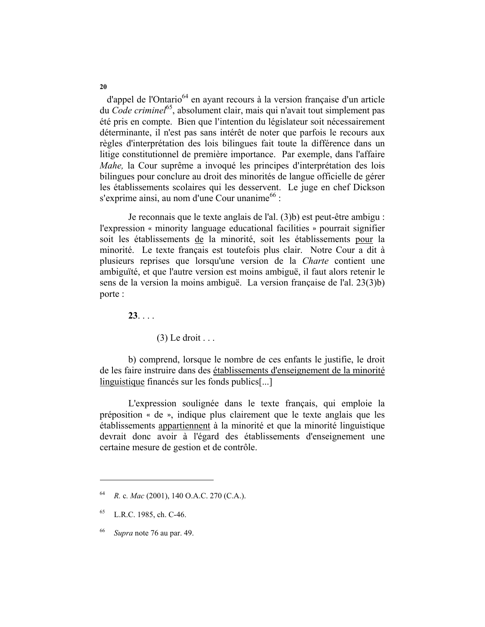d'appel de l'Ontario<sup>64</sup> en ayant recours à la version française d'un article du *Code criminel*65, absolument clair, mais qui n'avait tout simplement pas été pris en compte. Bien que l'intention du législateur soit nécessairement déterminante, il n'est pas sans intérêt de noter que parfois le recours aux règles d'interprétation des lois bilingues fait toute la différence dans un litige constitutionnel de première importance. Par exemple, dans l'affaire *Mahe*, la Cour suprême a invoqué les principes d'interprétation des lois bilingues pour conclure au droit des minorités de langue officielle de gérer les établissements scolaires qui les desservent. Le juge en chef Dickson s'exprime ainsi, au nom d'une Cour unanime<sup>66</sup> :

Je reconnais que le texte anglais de l'al. (3)b) est peut-être ambigu : l'expression « minority language educational facilities » pourrait signifier soit les établissements de la minorité, soit les établissements pour la minorité. Le texte français est toutefois plus clair. Notre Cour a dit à plusieurs reprises que lorsqu'une version de la *Charte* contient une ambiguïté, et que l'autre version est moins ambiguë, il faut alors retenir le sens de la version la moins ambiguë. La version française de l'al. 23(3)b) porte :

**23**. . . .

 $(3)$  Le droit ...

b) comprend, lorsque le nombre de ces enfants le justifie, le droit de les faire instruire dans des établissements d'enseignement de la minorité linguistique financés sur les fonds publics[...]

L'expression soulignée dans le texte français, qui emploie la préposition \* de +, indique plus clairement que le texte anglais que les établissements appartiennent à la minorité et que la minorité linguistique devrait donc avoir à l'égard des établissements d'enseignement une certaine mesure de gestion et de contrôle.

<sup>64</sup> *R.* c*. Mac* (2001), 140 O.A.C. 270 (C.A.).

<sup>65</sup> L.R.C. 1985, ch. C-46.

<sup>66</sup> *Supra* note 76 au par. 49.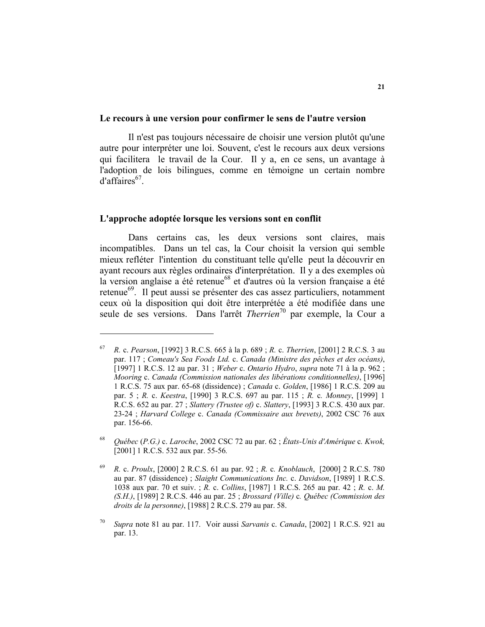#### **Le recours à une version pour confirmer le sens de l'autre version**

Il n'est pas toujours nécessaire de choisir une version plutôt qu'une autre pour interpréter une loi. Souvent, c'est le recours aux deux versions qui facilitera le travail de la Cour. Il y a, en ce sens, un avantage à l'adoption de lois bilingues, comme en témoigne un certain nombre  $d'$ affaires<sup>67</sup>.

### **L'approche adoptée lorsque les versions sont en conflit**

Dans certains cas, les deux versions sont claires, mais incompatibles. Dans un tel cas, la Cour choisit la version qui semble mieux refléter l'intention du constituant telle qu'elle peut la découvrir en ayant recours aux règles ordinaires d'interprétation. Il y a des exemples où la version anglaise a été retenue<sup>68</sup> et d'autres où la version française a été retenue<sup>69</sup>. Il peut aussi se présenter des cas assez particuliers, notamment ceux où la disposition qui doit être interprétée a été modifiée dans une seule de ses versions. Dans l'arrêt *Therrien*70 par exemple, la Cour a

<sup>67</sup> *R.* c. *Pearson*, [1992] 3 R.C.S. 665 à la p. 689 ; *R.* c. *Therrien*, [2001] 2 R.C.S. 3 au par. 117 ; *Comeau's Sea Foods Ltd.* c. *Canada (Ministre des pêches et des océans)*, [1997] 1 R.C.S. 12 au par. 31 ; *Weber* c. *Ontario Hydro*, *supra* note 71 à la p. 962 ; *Mooring* c. *Canada (Commission nationales des libérations conditionnelles)*, [1996] 1 R.C.S. 75 aux par. 65-68 (dissidence) ; *Canada* c. *Golden*, [1986] 1 R.C.S. 209 au par. 5 ; *R.* c. *Keestra*, [1990] 3 R.C.S. 697 au par. 115 ; *R.* c*. Monney*, [1999] 1 R.C.S. 652 au par. 27 ; *Slattery (Trustee of)* c. *Slattery*, [1993] 3 R.C.S. 430 aux par. 23-24 ; *Harvard College* c. *Canada (Commissaire aux brevets)*, 2002 CSC 76 aux par. 156-66.

<sup>68</sup> *Québec* (*P.G.)* c. *Laroche*, 2002 CSC 72 au par. 62 ; *États-Unis d'Amérique* c*. Kwok,*  [2001] 1 R.C.S. 532 aux par. 55-56*.*

<sup>69</sup> *R.* c. *Proulx*, [2000] 2 R.C.S. 61 au par. 92 ; *R.* c*. Knoblauch*, [2000] 2 R.C.S. 780 au par. 87 (dissidence) ; *Slaight Communications Inc.* c. *Davidson*, [1989] 1 R.C.S. 1038 aux par. 70 et suiv. ; *R.* c. *Collins*, [1987] 1 R.C.S. 265 au par. 42 ; *R.* c. *M. (S.H.)*, [1989] 2 R.C.S. 446 au par. 25 ; *Brossard (Ville)* c*. Québec (Commission des droits de la personne)*, [1988] 2 R.C.S. 279 au par. 58.

<sup>70</sup> *Supra* note 81 au par. 117. Voir aussi *Sarvanis* c. *Canada*, [2002] 1 R.C.S. 921 au par. 13.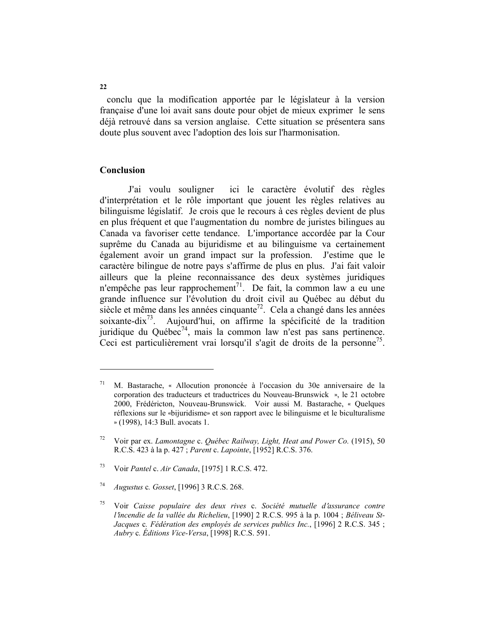conclu que la modification apportée par le législateur à la version française d'une loi avait sans doute pour objet de mieux exprimer le sens déjà retrouvé dans sa version anglaise. Cette situation se présentera sans doute plus souvent avec l'adoption des lois sur l'harmonisation.

## **Conclusion**

J'ai voulu souligner ici le caractère évolutif des règles d'interprétation et le rôle important que jouent les règles relatives au bilinguisme législatif. Je crois que le recours à ces règles devient de plus en plus fréquent et que l'augmentation du nombre de juristes bilingues au Canada va favoriser cette tendance. L'importance accordée par la Cour suprême du Canada au bijuridisme et au bilinguisme va certainement également avoir un grand impact sur la profession. J'estime que le caractère bilingue de notre pays s'affirme de plus en plus. J'ai fait valoir ailleurs que la pleine reconnaissance des deux systèmes juridiques n'empêche pas leur rapprochement<sup>71</sup>. De fait, la common law a eu une grande influence sur l'évolution du droit civil au Québec au début du siècle et même dans les années cinquante<sup>72</sup>. Cela a changé dans les années soixante-dix<sup>73</sup>. Aujourd'hui, on affirme la spécificité de la tradition juridique du Québec<sup>74</sup>, mais la common law n'est pas sans pertinence. Ceci est particulièrement vrai lorsqu'il s'agit de droits de la personne<sup>75</sup>.

**22** 

 $71$  M. Bastarache, « Allocution prononcée à l'occasion du 30e anniversaire de la corporation des traducteurs et traductrices du Nouveau-Brunswick », le 21 octobre 2000, Frédéricton, Nouveau-Brunswick. Voir aussi M. Bastarache, \* Quelques réflexions sur le «bijuridisme» et son rapport avec le bilinguisme et le biculturalisme + (1998), 14:3 Bull. avocats 1.

<sup>72</sup> Voir par ex. *Lamontagne* c. *Québec Railway, Light, Heat and Power Co.* (1915), 50 R.C.S. 423 à la p. 427 ; *Parent* c. *Lapointe*, [1952] R.C.S. 376.

<sup>73</sup> Voir *Pantel* c. *Air Canada*, [1975] 1 R.C.S. 472.

<sup>74</sup> *Augustus* c*. Gosset*, [1996] 3 R.C.S. 268.

<sup>75</sup> Voir *Caisse populaire des deux rives* c. *Société mutuelle d*=*assurance contre l*=*incendie de la vallée du Richelieu*, [1990] 2 R.C.S. 995 à la p. 1004 ; *Béliveau St-Jacques* c*. Fédération des employés de services publics Inc.*, [1996] 2 R.C.S. 345 ; *Aubry* c*. Éditions Vice-Versa*, [1998] R.C.S. 591.